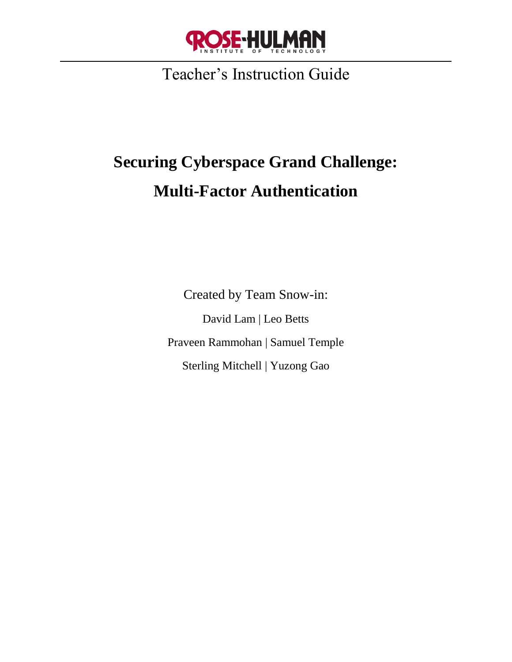

Teacher's Instruction Guide

# **Securing Cyberspace Grand Challenge: Multi-Factor Authentication**

Created by Team Snow-in: David Lam | Leo Betts Praveen Rammohan | Samuel Temple Sterling Mitchell | Yuzong Gao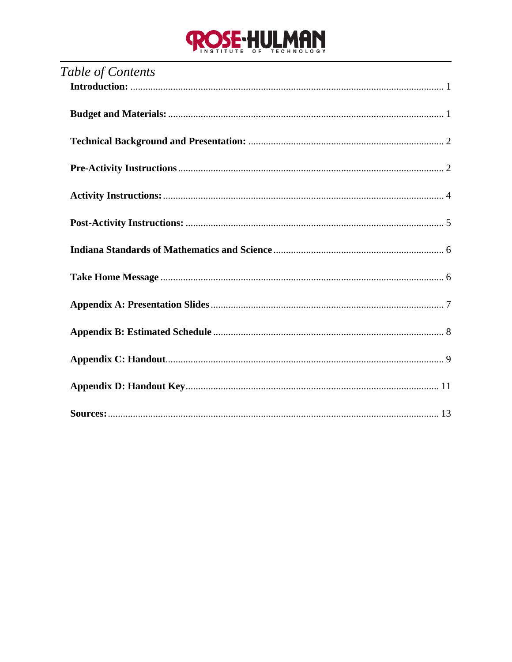# **ROSE-HULMAN**

| Table of Contents |
|-------------------|
|                   |
|                   |
|                   |
|                   |
|                   |
|                   |
|                   |
|                   |
|                   |
|                   |
|                   |
|                   |
|                   |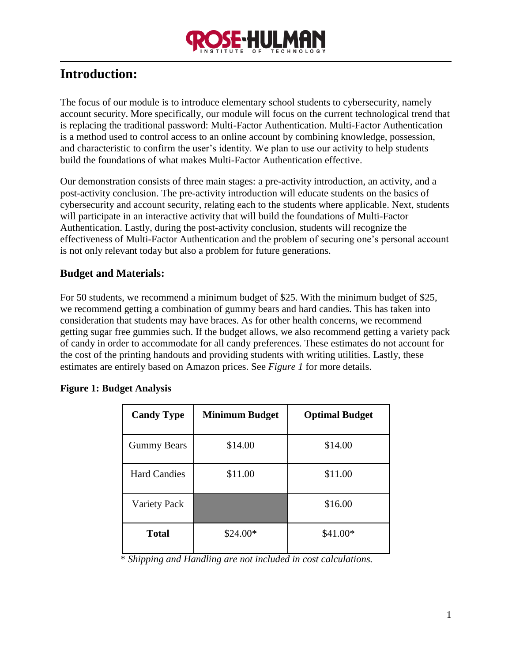

## <span id="page-2-0"></span>**Introduction:**

The focus of our module is to introduce elementary school students to cybersecurity, namely account security. More specifically, our module will focus on the current technological trend that is replacing the traditional password: Multi-Factor Authentication. Multi-Factor Authentication is a method used to control access to an online account by combining knowledge, possession, and characteristic to confirm the user's identity. We plan to use our activity to help students build the foundations of what makes Multi-Factor Authentication effective.

Our demonstration consists of three main stages: a pre-activity introduction, an activity, and a post-activity conclusion. The pre-activity introduction will educate students on the basics of cybersecurity and account security, relating each to the students where applicable. Next, students will participate in an interactive activity that will build the foundations of Multi-Factor Authentication. Lastly, during the post-activity conclusion, students will recognize the effectiveness of Multi-Factor Authentication and the problem of securing one's personal account is not only relevant today but also a problem for future generations.

## <span id="page-2-1"></span>**Budget and Materials:**

For 50 students, we recommend a minimum budget of \$25. With the minimum budget of \$25, we recommend getting a combination of gummy bears and hard candies. This has taken into consideration that students may have braces. As for other health concerns, we recommend getting sugar free gummies such. If the budget allows, we also recommend getting a variety pack of candy in order to accommodate for all candy preferences. These estimates do not account for the cost of the printing handouts and providing students with writing utilities. Lastly, these estimates are entirely based on Amazon prices. See *Figure 1* for more details.

| <b>Candy Type</b>   | Minimum Budget | <b>Optimal Budget</b> |
|---------------------|----------------|-----------------------|
| <b>Gummy Bears</b>  | \$14.00        | \$14.00               |
| <b>Hard Candies</b> | \$11.00        | \$11.00               |
| <b>Variety Pack</b> |                | \$16.00               |
| <b>Total</b>        | $$24.00*$      | $$41.00*$             |

#### **Figure 1: Budget Analysis**

\* *Shipping and Handling are not included in cost calculations.*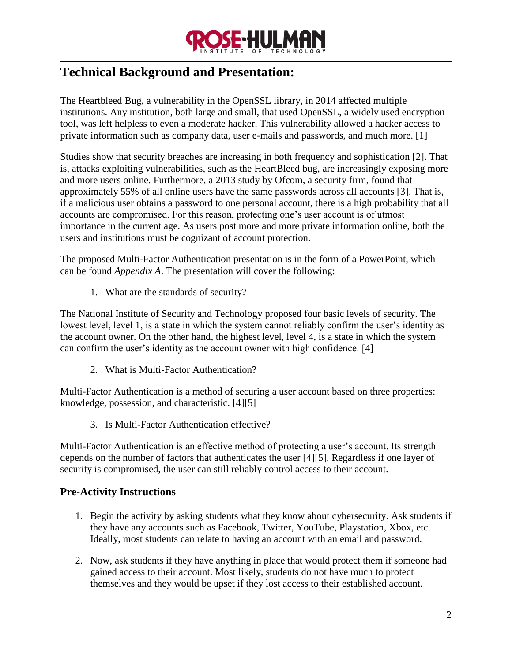

## <span id="page-3-0"></span>**Technical Background and Presentation:**

The Heartbleed Bug, a vulnerability in the OpenSSL library, in 2014 affected multiple institutions. Any institution, both large and small, that used OpenSSL, a widely used encryption tool, was left helpless to even a moderate hacker. This vulnerability allowed a hacker access to private information such as company data, user e-mails and passwords, and much more. [1]

Studies show that security breaches are increasing in both frequency and sophistication [2]. That is, attacks exploiting vulnerabilities, such as the HeartBleed bug, are increasingly exposing more and more users online. Furthermore, a 2013 study by Ofcom, a security firm, found that approximately 55% of all online users have the same passwords across all accounts [3]. That is, if a malicious user obtains a password to one personal account, there is a high probability that all accounts are compromised. For this reason, protecting one's user account is of utmost importance in the current age. As users post more and more private information online, both the users and institutions must be cognizant of account protection.

The proposed Multi-Factor Authentication presentation is in the form of a PowerPoint, which can be found *Appendix A*. The presentation will cover the following:

1. What are the standards of security?

The National Institute of Security and Technology proposed four basic levels of security. The lowest level, level 1, is a state in which the system cannot reliably confirm the user's identity as the account owner. On the other hand, the highest level, level 4, is a state in which the system can confirm the user's identity as the account owner with high confidence. [4]

2. What is Multi-Factor Authentication?

Multi-Factor Authentication is a method of securing a user account based on three properties: knowledge, possession, and characteristic. [4][5]

3. Is Multi-Factor Authentication effective?

Multi-Factor Authentication is an effective method of protecting a user's account. Its strength depends on the number of factors that authenticates the user [4][5]. Regardless if one layer of security is compromised, the user can still reliably control access to their account.

## <span id="page-3-1"></span>**Pre-Activity Instructions**

- 1. Begin the activity by asking students what they know about cybersecurity. Ask students if they have any accounts such as Facebook, Twitter, YouTube, Playstation, Xbox, etc. Ideally, most students can relate to having an account with an email and password.
- 2. Now, ask students if they have anything in place that would protect them if someone had gained access to their account. Most likely, students do not have much to protect themselves and they would be upset if they lost access to their established account.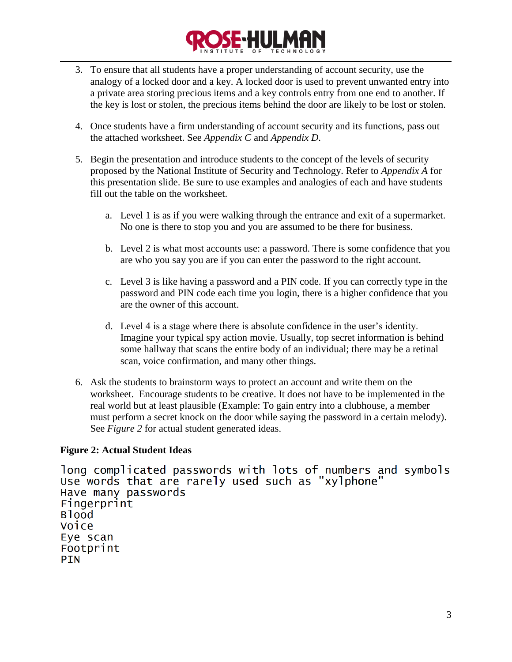

- 3. To ensure that all students have a proper understanding of account security, use the analogy of a locked door and a key. A locked door is used to prevent unwanted entry into a private area storing precious items and a key controls entry from one end to another. If the key is lost or stolen, the precious items behind the door are likely to be lost or stolen.
- 4. Once students have a firm understanding of account security and its functions, pass out the attached worksheet. See *Appendix C* and *Appendix D*.
- 5. Begin the presentation and introduce students to the concept of the levels of security proposed by the National Institute of Security and Technology. Refer to *Appendix A* for this presentation slide. Be sure to use examples and analogies of each and have students fill out the table on the worksheet.
	- a. Level 1 is as if you were walking through the entrance and exit of a supermarket. No one is there to stop you and you are assumed to be there for business.
	- b. Level 2 is what most accounts use: a password. There is some confidence that you are who you say you are if you can enter the password to the right account.
	- c. Level 3 is like having a password and a PIN code. If you can correctly type in the password and PIN code each time you login, there is a higher confidence that you are the owner of this account.
	- d. Level 4 is a stage where there is absolute confidence in the user's identity. Imagine your typical spy action movie. Usually, top secret information is behind some hallway that scans the entire body of an individual; there may be a retinal scan, voice confirmation, and many other things.
- 6. Ask the students to brainstorm ways to protect an account and write them on the worksheet. Encourage students to be creative. It does not have to be implemented in the real world but at least plausible (Example: To gain entry into a clubhouse, a member must perform a secret knock on the door while saying the password in a certain melody). See *Figure 2* for actual student generated ideas.

## **Figure 2: Actual Student Ideas**

```
long complicated passwords with lots of numbers and symbols
Use words that are rarely used such as "xylphone"
Have many passwords
Fingerprint
Blood
Voice
Eye scan
Footprint
PIN
```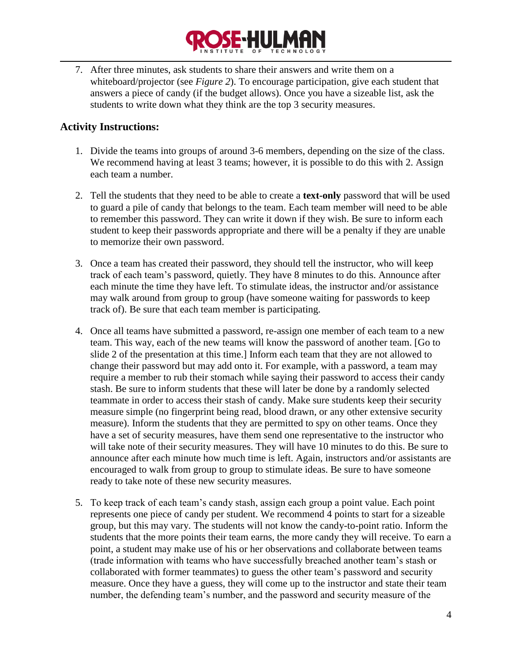

7. After three minutes, ask students to share their answers and write them on a whiteboard/projector (see *Figure 2*). To encourage participation, give each student that answers a piece of candy (if the budget allows). Once you have a sizeable list, ask the students to write down what they think are the top 3 security measures.

### <span id="page-5-0"></span>**Activity Instructions:**

- 1. Divide the teams into groups of around 3-6 members, depending on the size of the class. We recommend having at least 3 teams; however, it is possible to do this with 2. Assign each team a number.
- 2. Tell the students that they need to be able to create a **text-only** password that will be used to guard a pile of candy that belongs to the team. Each team member will need to be able to remember this password. They can write it down if they wish. Be sure to inform each student to keep their passwords appropriate and there will be a penalty if they are unable to memorize their own password.
- 3. Once a team has created their password, they should tell the instructor, who will keep track of each team's password, quietly. They have 8 minutes to do this. Announce after each minute the time they have left. To stimulate ideas, the instructor and/or assistance may walk around from group to group (have someone waiting for passwords to keep track of). Be sure that each team member is participating.
- 4. Once all teams have submitted a password, re-assign one member of each team to a new team. This way, each of the new teams will know the password of another team. [Go to slide 2 of the presentation at this time.] Inform each team that they are not allowed to change their password but may add onto it. For example, with a password, a team may require a member to rub their stomach while saying their password to access their candy stash. Be sure to inform students that these will later be done by a randomly selected teammate in order to access their stash of candy. Make sure students keep their security measure simple (no fingerprint being read, blood drawn, or any other extensive security measure). Inform the students that they are permitted to spy on other teams. Once they have a set of security measures, have them send one representative to the instructor who will take note of their security measures. They will have 10 minutes to do this. Be sure to announce after each minute how much time is left. Again, instructors and/or assistants are encouraged to walk from group to group to stimulate ideas. Be sure to have someone ready to take note of these new security measures.
- 5. To keep track of each team's candy stash, assign each group a point value. Each point represents one piece of candy per student. We recommend 4 points to start for a sizeable group, but this may vary. The students will not know the candy-to-point ratio. Inform the students that the more points their team earns, the more candy they will receive. To earn a point, a student may make use of his or her observations and collaborate between teams (trade information with teams who have successfully breached another team's stash or collaborated with former teammates) to guess the other team's password and security measure. Once they have a guess, they will come up to the instructor and state their team number, the defending team's number, and the password and security measure of the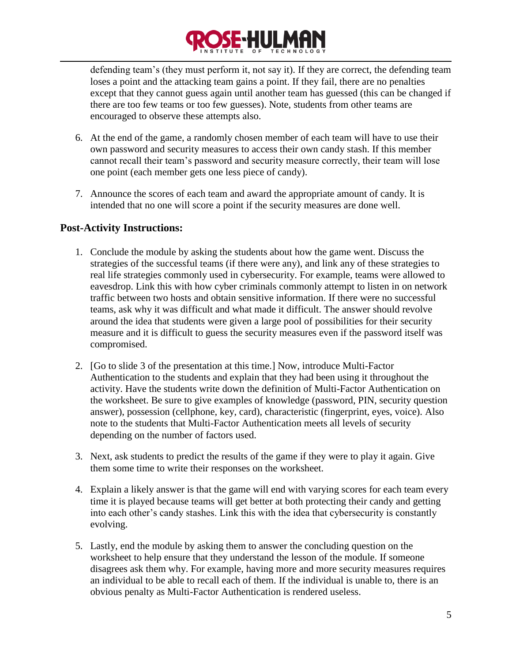

defending team's (they must perform it, not say it). If they are correct, the defending team loses a point and the attacking team gains a point. If they fail, there are no penalties except that they cannot guess again until another team has guessed (this can be changed if there are too few teams or too few guesses). Note, students from other teams are encouraged to observe these attempts also.

- 6. At the end of the game, a randomly chosen member of each team will have to use their own password and security measures to access their own candy stash. If this member cannot recall their team's password and security measure correctly, their team will lose one point (each member gets one less piece of candy).
- 7. Announce the scores of each team and award the appropriate amount of candy. It is intended that no one will score a point if the security measures are done well.

#### <span id="page-6-0"></span>**Post-Activity Instructions:**

- 1. Conclude the module by asking the students about how the game went. Discuss the strategies of the successful teams (if there were any), and link any of these strategies to real life strategies commonly used in cybersecurity. For example, teams were allowed to eavesdrop. Link this with how cyber criminals commonly attempt to listen in on network traffic between two hosts and obtain sensitive information. If there were no successful teams, ask why it was difficult and what made it difficult. The answer should revolve around the idea that students were given a large pool of possibilities for their security measure and it is difficult to guess the security measures even if the password itself was compromised.
- 2. [Go to slide 3 of the presentation at this time.] Now, introduce Multi-Factor Authentication to the students and explain that they had been using it throughout the activity. Have the students write down the definition of Multi-Factor Authentication on the worksheet. Be sure to give examples of knowledge (password, PIN, security question answer), possession (cellphone, key, card), characteristic (fingerprint, eyes, voice). Also note to the students that Multi-Factor Authentication meets all levels of security depending on the number of factors used.
- 3. Next, ask students to predict the results of the game if they were to play it again. Give them some time to write their responses on the worksheet.
- 4. Explain a likely answer is that the game will end with varying scores for each team every time it is played because teams will get better at both protecting their candy and getting into each other's candy stashes. Link this with the idea that cybersecurity is constantly evolving.
- 5. Lastly, end the module by asking them to answer the concluding question on the worksheet to help ensure that they understand the lesson of the module. If someone disagrees ask them why. For example, having more and more security measures requires an individual to be able to recall each of them. If the individual is unable to, there is an obvious penalty as Multi-Factor Authentication is rendered useless.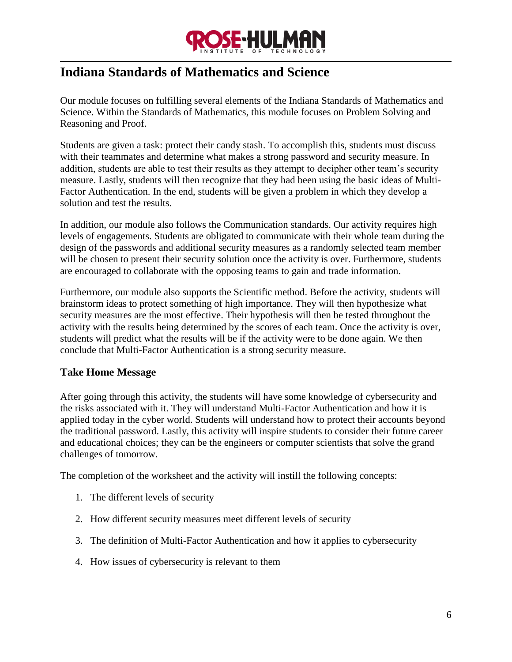

## <span id="page-7-0"></span>**Indiana Standards of Mathematics and Science**

Our module focuses on fulfilling several elements of the Indiana Standards of Mathematics and Science. Within the Standards of Mathematics, this module focuses on Problem Solving and Reasoning and Proof.

Students are given a task: protect their candy stash. To accomplish this, students must discuss with their teammates and determine what makes a strong password and security measure. In addition, students are able to test their results as they attempt to decipher other team's security measure. Lastly, students will then recognize that they had been using the basic ideas of Multi-Factor Authentication. In the end, students will be given a problem in which they develop a solution and test the results.

In addition, our module also follows the Communication standards. Our activity requires high levels of engagements. Students are obligated to communicate with their whole team during the design of the passwords and additional security measures as a randomly selected team member will be chosen to present their security solution once the activity is over. Furthermore, students are encouraged to collaborate with the opposing teams to gain and trade information.

Furthermore, our module also supports the Scientific method. Before the activity, students will brainstorm ideas to protect something of high importance. They will then hypothesize what security measures are the most effective. Their hypothesis will then be tested throughout the activity with the results being determined by the scores of each team. Once the activity is over, students will predict what the results will be if the activity were to be done again. We then conclude that Multi-Factor Authentication is a strong security measure.

#### <span id="page-7-1"></span>**Take Home Message**

After going through this activity, the students will have some knowledge of cybersecurity and the risks associated with it. They will understand Multi-Factor Authentication and how it is applied today in the cyber world. Students will understand how to protect their accounts beyond the traditional password. Lastly, this activity will inspire students to consider their future career and educational choices; they can be the engineers or computer scientists that solve the grand challenges of tomorrow.

The completion of the worksheet and the activity will instill the following concepts:

- 1. The different levels of security
- 2. How different security measures meet different levels of security
- 3. The definition of Multi-Factor Authentication and how it applies to cybersecurity
- 4. How issues of cybersecurity is relevant to them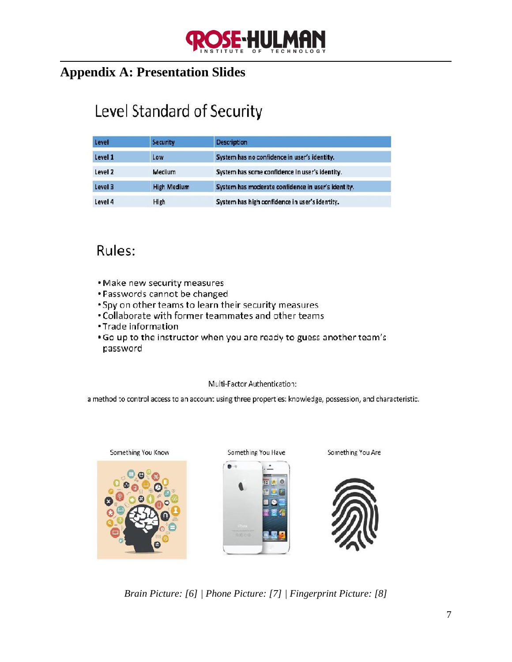

## <span id="page-8-0"></span>**Appendix A: Presentation Slides**

## Level Standard of Security

| Level   | <b>Security</b>    | <b>Description</b>                                 |
|---------|--------------------|----------------------------------------------------|
| Level 1 | Low                | System has no confidence in user's identity.       |
| Level 2 | Medium             | System has some confidence in user's identity.     |
| Level 3 | <b>High Medium</b> | System has moderate confidence in user's identity. |
| Level 4 | High               | System has high confidence in user's identity.     |

## Rules:

- . Make new security measures
- . Passwords cannot be changed
- . Spy on other teams to learn their security measures
- . Collaborate with former teammates and other teams
- Trade information
- . Go up to the instructor when you are ready to guess another team's password

#### Multi-Factor Authentication:

a method to control access to an account using three properties: knowledge, possession, and characteristic.



*Brain Picture: [6] | Phone Picture: [7] | Fingerprint Picture: [8]*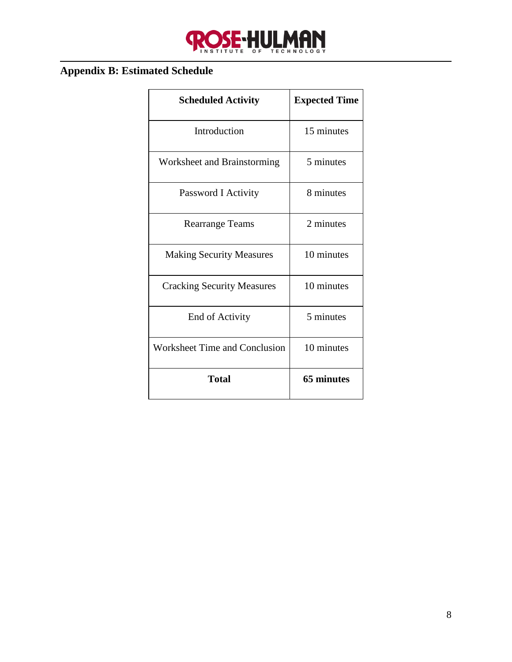

## <span id="page-9-0"></span>**Appendix B: Estimated Schedule**

| <b>Scheduled Activity</b>            | <b>Expected Time</b> |
|--------------------------------------|----------------------|
| Introduction                         | 15 minutes           |
| Worksheet and Brainstorming          | 5 minutes            |
| Password I Activity                  | 8 minutes            |
| <b>Rearrange Teams</b>               | 2 minutes            |
| <b>Making Security Measures</b>      | 10 minutes           |
| <b>Cracking Security Measures</b>    | 10 minutes           |
| End of Activity                      | 5 minutes            |
| <b>Worksheet Time and Conclusion</b> | 10 minutes           |
| Total                                | <b>65 minutes</b>    |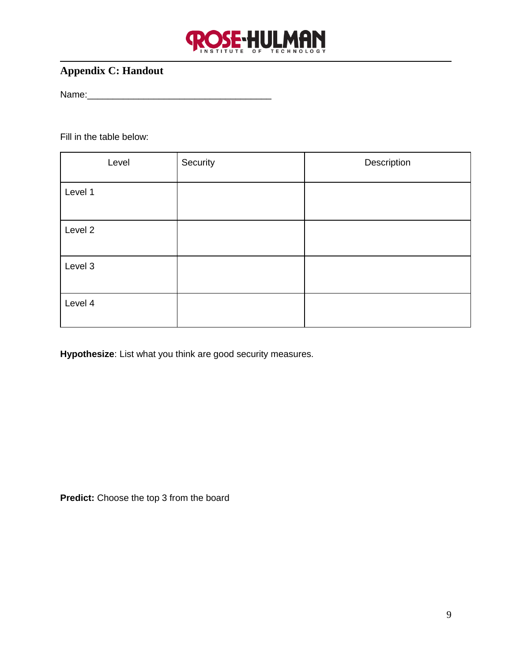

## <span id="page-10-0"></span>**Appendix C: Handout**

Name:\_\_\_\_\_\_\_\_\_\_\_\_\_\_\_\_\_\_\_\_\_\_\_\_\_\_\_\_\_\_\_\_\_\_\_\_

Fill in the table below:

| Level   | Security | Description |
|---------|----------|-------------|
| Level 1 |          |             |
| Level 2 |          |             |
| Level 3 |          |             |
| Level 4 |          |             |

**Hypothesize**: List what you think are good security measures.

**Predict:** Choose the top 3 from the board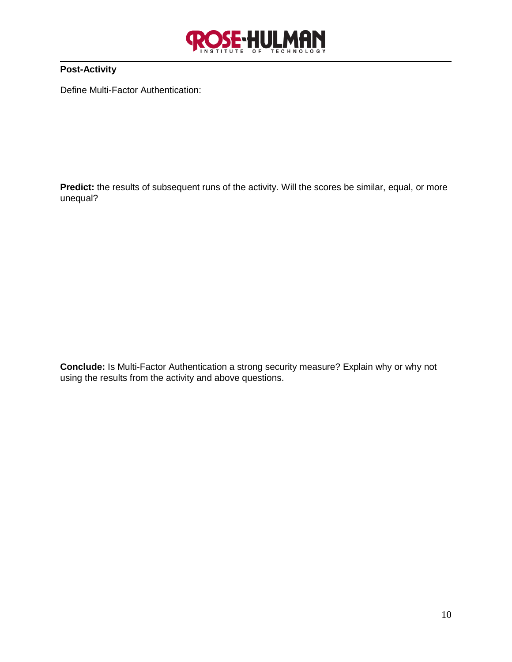

#### **Post-Activity**

Define Multi-Factor Authentication:

Predict: the results of subsequent runs of the activity. Will the scores be similar, equal, or more unequal?

**Conclude:** Is Multi-Factor Authentication a strong security measure? Explain why or why not using the results from the activity and above questions.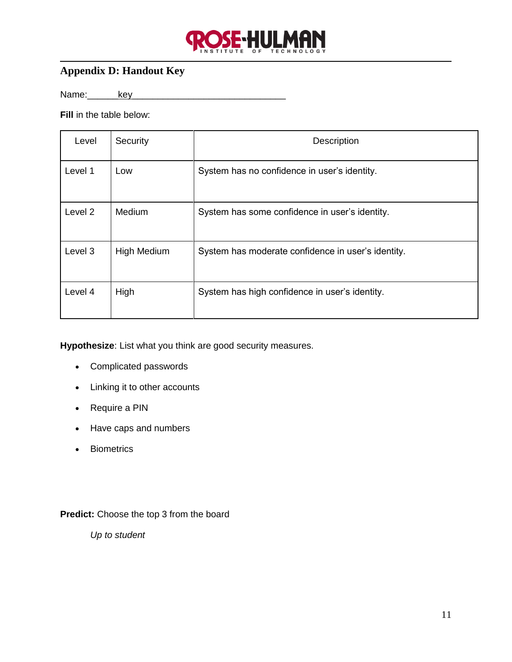

## <span id="page-12-0"></span>**Appendix D: Handout Key**

Name:\_\_\_\_\_\_key\_\_\_\_\_\_\_\_\_\_\_\_\_\_\_\_\_\_\_\_\_\_\_\_\_\_\_\_\_\_

**Fill** in the table below:

| Level   | Security           | <b>Description</b>                                 |
|---------|--------------------|----------------------------------------------------|
| Level 1 | Low                | System has no confidence in user's identity.       |
| Level 2 | <b>Medium</b>      | System has some confidence in user's identity.     |
| Level 3 | <b>High Medium</b> | System has moderate confidence in user's identity. |
| Level 4 | High               | System has high confidence in user's identity.     |

**Hypothesize**: List what you think are good security measures.

- Complicated passwords
- Linking it to other accounts
- Require a PIN
- Have caps and numbers
- Biometrics

#### **Predict:** Choose the top 3 from the board

*Up to student*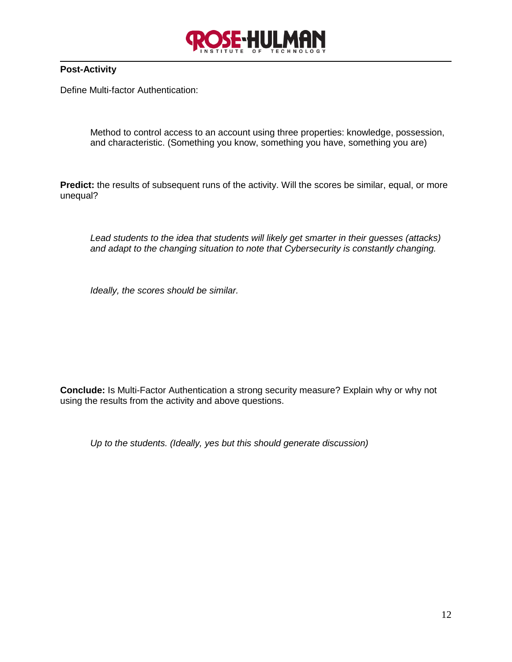

#### **Post-Activity**

Define Multi-factor Authentication:

Method to control access to an account using three properties: knowledge, possession, and characteristic. (Something you know, something you have, something you are)

**Predict:** the results of subsequent runs of the activity. Will the scores be similar, equal, or more unequal?

*Lead students to the idea that students will likely get smarter in their guesses (attacks) and adapt to the changing situation to note that Cybersecurity is constantly changing.* 

*Ideally, the scores should be similar.*

**Conclude:** Is Multi-Factor Authentication a strong security measure? Explain why or why not using the results from the activity and above questions.

*Up to the students. (Ideally, yes but this should generate discussion)*